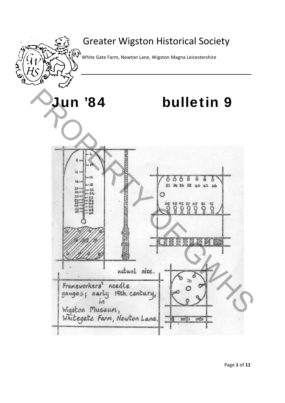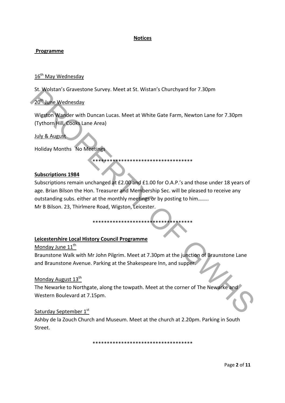#### **Notices**

#### **Programme**

#### 16<sup>th</sup> May Wednesday

St. Wolstan's Gravestone Survey. Meet at St. Wistan's Churchyard for 7.30pm

### 20<sup>th</sup> June Wednesday

Wigston Wander with Duncan Lucas. Meet at White Gate Farm, Newton Lane for 7.30pm (Tythorn Hill, Cooks Lane Area)

#### July & August

Holiday Months No Meetings

#### **Subscriptions 1984**

Subscriptions remain unchanged at £2.00 and £1.00 for O.A.P.'s and those under 18 years of age. Brian Bilson the Hon. Treasurer and Membership Sec. will be pleased to receive any outstanding subs. either at the monthly meetings or by posting to him…….. Mr B Bilson. 23, Thirlmere Road, Wigston, Leicester. St. Wolstan's Gravestone Survey. Meet at 8t. Wistan's Churchyard for 7.30pm<br>
20<sup>W</sup> Lune Wednesday<br>
Wigston Wander with Duncan Lucas. Meet at White Gate Farm, Newton Lane for 7.30pm<br>
(Tythorn Hill, Cooks Lane Area)<br>
Holiday

\*\*\*\*\*\*\*\*\*\*\*\*\*\*\*\*\*\*\*\*\*\*\*\*\*\*\*\*\*\*\*\*\*\*\*

\*\*\*\*\*\*\*\*\*\*\*\*\*\*\*\*\*\*\*\*\*\*\*\*\*\*\*\*\*\*\*\*\*\*\*

#### **Leicestershire Local History Council Programme**

#### Monday June 11<sup>th</sup>

Braunstone Walk with Mr John Pilgrim. Meet at 7.30pm at the junction of Braunstone Lane and Braunstone Avenue. Parking at the Shakespeare Inn, and supper.

#### Monday August 13<sup>th</sup>

The Newarke to Northgate, along the towpath. Meet at the corner of The Newarke and Western Boulevard at 7.15pm.

#### Saturday September 1st

Ashby de la Zouch Church and Museum. Meet at the church at 2.20pm. Parking in South Street.

\*\*\*\*\*\*\*\*\*\*\*\*\*\*\*\*\*\*\*\*\*\*\*\*\*\*\*\*\*\*\*\*\*\*\*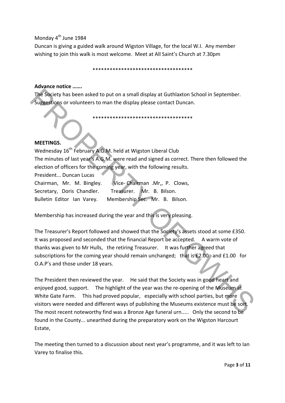#### Monday 4<sup>th</sup> June 1984

Duncan is giving a guided walk around Wigston Village, for the local W.I. Any member wishing to join this walk is most welcome. Meet at All Saint's Church at 7.30pm

\*\*\*\*\*\*\*\*\*\*\*\*\*\*\*\*\*\*\*\*\*\*\*\*\*\*\*\*\*\*\*\*\*\*\*

#### **Advance notice …….**

The Society has been asked to put on a small display at Guthlaxton School in September. Suggestions or volunteers to man the display please contact Duncan.

\*\*\*\*\*\*\*\*\*\*\*\*\*\*\*\*\*\*\*\*\*\*\*\*\*\*\*\*\*\*\*\*\*\*\*

#### **MEETINGS.**

Wednesday 16<sup>th</sup> February A.G.M. held at Wigston Liberal Club The minutes of last year's A.G.M. were read and signed as correct. There then followed the election of officers for the coming year, with the following results.

President... Duncan Lucas

| Chairman, Mr. M. Bingley.  | Vice-Chairman .Mr., P. Clows,                        |
|----------------------------|------------------------------------------------------|
|                            | Secretary, Doris Chandler. Treasurer. Mr. B. Bilson. |
| Bulletin Editor Ian Varey. | Membership Sec. Mr. B. Bilson.                       |

Membership has increased during the year and this is very pleasing.

The Treasurer's Report followed and showed that the Society's assets stood at some £350. It was proposed and seconded that the financial Report be accepted. A warm vote of thanks was given to Mr Hulls, the retiring Treasurer. It was further agreed that subscriptions for the coming year should remain unchanged; that is £2.00 and £1.00 for O.A.P's and those under 18 years. The Society has been asked to put on a small display at Guthlaxton School in September.<br>
Suppositions or volunteers to man the display please contact Duncan.<br>
Ween the minutes of last year of the data vigiston Liberal Club

The President then reviewed the year. He said that the Society was in good heart and enjoyed good, support. The highlight of the year was the re-opening of the Museum at White Gate Farm. This had proved popular, especially with school parties, but more visitors were needed and different ways of publishing the Museums existence must be sort. The most recent noteworthy find was a Bronze Age funeral urn..... Only the second to be found in the County... unearthed during the preparatory work on the Wigston Harcourt Estate,

The meeting then turned to a discussion about next year's programme, and it was left to Ian Varey to finalise this.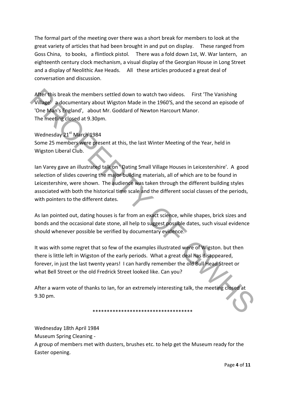The formal part of the meeting over there was a short break for members to look at the great variety of articles that had been brought in and put on display. These ranged from Goss China, to books, a flintlock pistol. There was a fold down 1st, W. War lantern, an eighteenth century clock mechanism, a visual display of the Georgian House in Long Street and a display of Neolithic Axe Heads. All these articles produced a great deal of conversation and discussion.

After this break the members settled down to watch two videos. First 'The Vanishing Village' a documentary about Wigston Made in the 1960'S, and the second an episode of 'One Man's England', about Mr. Goddard of Newton Harcourt Manor. The meeting closed at 9.30pm.

Wednesday 21st March 1984 Some 25 members were present at this, the last Winter Meeting of the Year, held in Wigston Liberal Club.

Ian Varey gave an illustrated talk on ' Dating Small Village Houses in Leicestershire'. A good selection of slides covering the major building materials, all of which are to be found in Leicestershire, were shown. The audience was taken through the different building styles associated with both the historical time scale and the different social classes of the periods, with pointers to the different dates. After this break the members settled down to watch two videos. First 'The Vanishing<br>Village 2 documentary about Wigston Made in the 1960's, and the second an episode of<br>Vine Made is bused in the 1960's, and the second an

As Ian pointed out, dating houses is far from an exact science, while shapes, brick sizes and bonds and the occasional date stone, all help to suggest possible dates, such visual evidence should whenever possible be verified by documentary evidence.

It was with some regret that so few of the examples illustrated were of Wigston. but then there is little left in Wigston of the early periods. What a great deal has disappeared, forever, in just the last twenty years! I can hardly remember the old Bull Head Street or what Bell Street or the old Fredrick Street looked like. Can you?

After a warm vote of thanks to Ian, for an extremely interesting talk, the meeting closed at 9.30 pm.

\*\*\*\*\*\*\*\*\*\*\*\*\*\*\*\*\*\*\*\*\*\*\*\*\*\*\*\*\*\*\*\*\*\*\*

Wednesday 18th April 1984

Museum Spring Cleaning ‐

A group of members met with dusters, brushes etc. to help get the Museum ready for the Easter opening.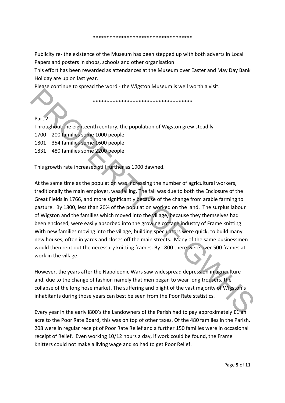#### \*\*\*\*\*\*\*\*\*\*\*\*\*\*\*\*\*\*\*\*\*\*\*\*\*\*\*\*\*\*\*\*\*\*\*

Publicity re‐ the existence of the Museum has been stepped up with both adverts in Local Papers and posters in shops, schools and other organisation.

This effort has been rewarded as attendances at the Museum over Easter and May Day Bank Holiday are up on last year.

Please continue to spread the word ‐ the Wigston Museum is well worth a visit.

\*\*\*\*\*\*\*\*\*\*\*\*\*\*\*\*\*\*\*\*\*\*\*\*\*\*\*\*\*\*\*\*\*\*\*

### Part 2.

Throughout the eighteenth century, the population of Wigston grew steadily

- 1700 200 families some 1000 people
- 1801 354 families some 1600 people,
- 1831 480 families some 2200 people.

This growth rate increased still further as 1900 dawned.

At the same time as the population was increasing the number of agricultural workers, traditionally the main employer, was falling. The fall was due to both the Enclosure of the Great Fields in 1766, and more significantly because of the change from arable farming to pasture. By 1800, less than 20% of the population worked on the land. The surplus labour of Wigston and the families which moved into the village, because they themselves had been enclosed, were easily absorbed into the growing cottage industry of Frame knitting. With new families moving into the village, building speculators were quick, to build many new houses, often in yards and closes off the main streets. Many of the same businessmen would then rent out the necessary knitting frames. By 1800 there were over 500 frames at work in the village. Part 2.<br>
Throughout the eighteenth century, the population of Wigston grew steadily<br>
Throughout the eighteenth century, the population of Wigston grew steadily<br>
1801 354 families some 1600 people.<br>
1831 480 families some 2

However, the years after the Napoleonic Wars saw widespread depression in agriculture and, due to the change of fashion namely that men began to wear long trousers, the collapse of the long hose market. The suffering and plight of the vast majority of Wigston's inhabitants during those years can best be seen from the Poor Rate statistics.

Every year in the early l800's the Landowners of the Parish had to pay approximately £1 an acre to the Poor Rate Board, this was on top of other taxes. Of the 480 families in the Parish, 208 were in regular receipt of Poor Rate Relief and a further 150 families were in occasional receipt of Relief. Even working 10/12 hours a day, if work could be found, the Frame Knitters could not make a living wage and so had to get Poor Relief.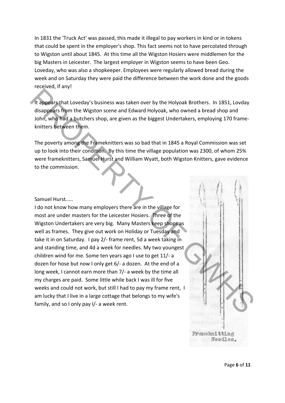In 1831 the 'Truck Act' was passed, this made it illegal to pay workers in kind or in tokens that could be spent in the employer's shop. This fact seems not to have percolated through to Wigston until about 1845. At this time all the Wigston Hosiers were middlemen for the big Masters in Leicester. The largest employer in Wigston seems to have been Geo. Loveday, who was also a shopkeeper. Employees were regularly allowed bread during the week and on Saturday they were paid the difference between the work done and the goods received, if any!

It appears that Loveday's business was taken over by the Holyoak Brothers. In 1851, Lovday disappears from the Wigston scene and Edward Holyoak, who owned a bread shop and John, who had a butchers shop, are given as the biggest Undertakers, employing 170 frame‐ knitters between them.

The poverty among the Frameknitters was so bad that in 1845 a Royal Commission was set up to look into their condition. By this time the village population was 2300, of whom 25% were frameknitters, Samuel Hurst and William Wyatt, both Wigston Knitters, gave evidence to the commission.

#### Samuel Hurst.....

I do not know how many employers there are in the village for most are under masters for the Leicester Hosiers. Three of the Wigston Undertakers are very big. Many Masters keep shops as well as frames. They give out work on Holiday or Tuesday and take it in on Saturday. I pay 2/‐ frame rent, 5d a week taking in and standing time, and 4d a week for needles. My two youngest children wind for me. Some ten years ago I use to get 11/‐ a dozen for hose but now I only get 6/‐ a dozen. At the end of a long week, I cannot earn more than 7/‐ a week by the time all my charges are paid. Some little while back I was ill for five weeks and could not work, but still I had to pay my frame rent, I am lucky that I live in a large cottage that belongs to my wife's family, and so I only pay I/‐ a week rent. The appears that toveday's business was taken over by the Holyoak Brothers. In 1851, Lovday<br>
the appears from the Wigiton scene and Edward Holyoak, who owned a bread shop and<br>
John, who had a butchers shop, are given as th

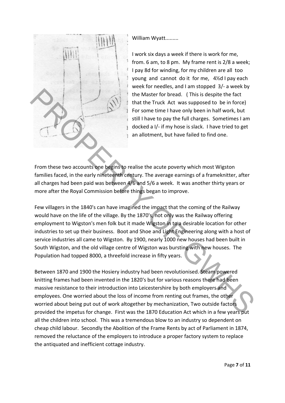

William Wyatt.........

I work six days a week if there is work for me, from. 6 am, to 8 pm. My frame rent is 2/8 a week; I pay 8d for winding, for my children are all too young and cannot do it for me, 4½d I pay each week for needles, and I am stopped 3/- a week by the Master for bread. ( This is despite the fact that the Truck Act was supposed to be in force) For some time I have only been in half work, but still I have to pay the full charges. Sometimes I am docked a I/‐ if my hose is slack. I have tried to get an allotment, but have failed to find one.

From these two accounts one begins to realise the acute poverty which most Wigston families faced, in the early nineteenth century. The average earnings of a frameknitter, after all charges had been paid was between 4/6 and 5/6 a week. It was another thirty years or more after the Royal Commission before things began to improve.

Few villagers in the 1840's can have imagined the impact that the coming of the Railway would have on the life of the village. By the 1870's, not only was the Railway offering employment to Wigston's men folk but it made Wigston in to a desirable location for other industries to set up their business. Boot and Shoe and Light Engineering along with a host of service industries all came to Wigston. By 1900, nearly 1000 new houses had been built in South Wigston, and the old village centre of Wigston was bursting with new houses. The Population had topped 8000, a threefold increase in fifty years. The Master for bread. (This is despite the fact<br>
1 the Master for bread. (This is despite the fact<br>
1 for some time Truck Act was supposed to be in force)<br>
1 for some time Truck Act was supposed to be in force)<br>
1 for some

Between 1870 and 1900 the Hosiery industry had been revolutionised. Steam powered knitting frames had been invented in the 1820's but for various reasons there had been massive resistance to their introduction into Leicestershire by both employers and employees. One worried about the loss of income from renting out frames, the other worried about being put out of work altogether by mechanization, Two outside factors provided the impetus for change. First was the 1870 Education Act which in a few years put all the children into school. This was a tremendous blow to an industry so dependent on cheap child labour. Secondly the Abolition of the Frame Rents by act of Parliament in 1874, removed the reluctance of the employers to introduce a proper factory system to replace the antiquated and inefficient cottage industry.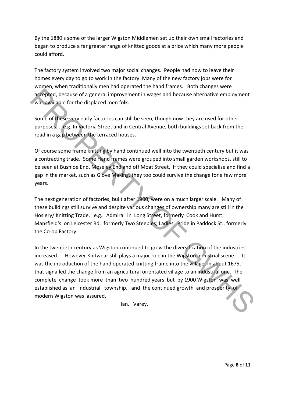By the 1880's some of the larger Wigston Middlemen set up their own small factories and began to produce a far greater range of knitted goods at a price which many more people could afford.

The factory system involved two major social changes. People had now to leave their homes every day to go to work in the factory. Many of the new factory jobs were for women, when traditionally men had operated the hand frames. Both changes were accepted, because of a general improvement in wages and because alternative employment was available for the displaced men folk.

Some of these very early factories can still be seen, though now they are used for other purposes.... e.g. In Victoria Street and in Central Avenue, both buildings set back from the road in a gap between the terraced houses.

Of course some frame knitting by hand continued well into the twentieth century but it was a contracting trade. Some Hand frames were grouped into small garden workshops, still to be seen at Bushloe End, Moseley End and off Moat Street. If they could specialise and find a gap in the market, such as Glove Making, they too could survive the change for a few more years.

The next generation of factories, built after 1900, were on a much larger scale. Many of these buildings still survive and despite various changes of ownership many are still in the Hosiery/ Knitting Trade, e.g. Admiral in Long Street, formerly Cook and Hurst; Mansfield's on Leicester Rd, formerly Two Steeples; Ladies' Pride in Paddock St., formerly the Co‐op Factory.

In the twentieth century as Wigston continued to grow the diversification of the industries increased. However Knitwear still plays a major role in the Wigston Industrial scene. It was the introduction of the hand operated knitting frame into the village, in about 1675, that signalled the change from an agricultural orientated village to an industrial one. The complete change took more than two hundred years but by 1900 Wigston was well established as an Industrial township, and the continued growth and prosperity of modern Wigston was assured, actepted, because of a general improvement in wages and because alternative employment<br>
was available for the displaced men folk.<br>
Some of these very early factories can still be seen, though now they are used for other<br>
p

Ian. Varey,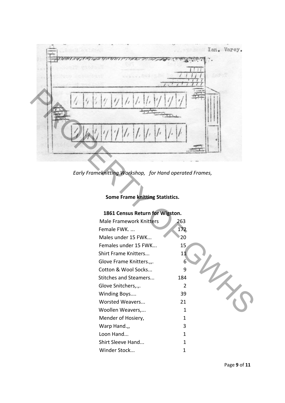

*Early Frameknitting Workshop, for Hand operated Frames,*

## **Some Frame knitting Statistics.**

# **1861 Census Return for Wigston.**

| <b>Male Framework Knitters</b> | 263 |  |
|--------------------------------|-----|--|
| Female FWK                     | 172 |  |
| Males under 15 FWK             | 20  |  |
| Females under 15 FWK           | 15  |  |
| Shirt Frame Knitters           | 11  |  |
| Glove Frame Knitters.,         | 6   |  |
| Cotton & Wool Socks            | 9   |  |
| Stitches and Steamers          | 184 |  |
| Glove Snitchers,.,.            | 2   |  |
| Winding Boys                   | 39  |  |
| Worsted Weavers                | 21  |  |
| Woollen Weavers,               | 1   |  |
| Mender of Hosiery,             | 1   |  |
| Warp Hand.,,                   | 3   |  |
| Loon Hand                      | 1   |  |
| Shirt Sleeve Hand              | 1   |  |
| Winder Stock                   | 1   |  |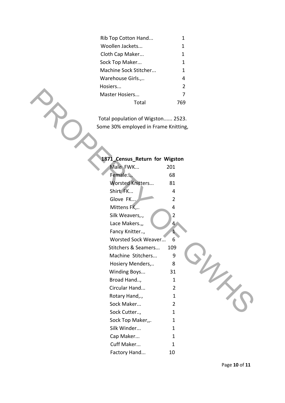| Rib Top Cotton Hand   | 1              |
|-----------------------|----------------|
| Woollen Jackets       | 1              |
| Cloth Cap Maker       | 1              |
| Sock Top Maker        | 1              |
| Machine Sock Stitcher | 1              |
| Warehouse Girls.,     | 4              |
| Hosiers               | $\mathfrak{p}$ |
| Master Hosiers        | 7              |
| Total                 |                |

| Master Hosiers                       | $\overline{7}$ |  |
|--------------------------------------|----------------|--|
| Total                                | 769            |  |
|                                      |                |  |
| Total population of Wigston 2523.    |                |  |
| Some 30% employed in Frame Knitting, |                |  |
|                                      |                |  |
|                                      |                |  |
|                                      |                |  |
| 1871_Census_Return for Wigston       |                |  |
| Male FWK                             | 201            |  |
| Female                               | 68             |  |
| Worsted Knitters                     | 81             |  |
| Shirt FK                             | 4              |  |
| Glove FK                             | $\overline{2}$ |  |
| Mittens FK,                          | 4              |  |
| Silk Weavers,.,                      | $\overline{2}$ |  |
| Lace Makers.,,                       | 4              |  |
| Fancy Knitter,                       | 1              |  |
| Worsted Sock Weaver                  | 6              |  |
| Stitchers & Seamers                  | 109            |  |
| Machine Stitchers                    | 9              |  |
| Hosiery Menders,                     | 8              |  |
| Winding Boys                         | 31             |  |
| Broad Hand,                          | $\mathbf{1}$   |  |
| Circular Hand                        | $\overline{2}$ |  |
| Rotary Hand,.,                       | $\mathbf{1}$   |  |
| Sock Maker                           | 2              |  |
| Sock Cutter,                         | $\mathbf{1}$   |  |
| Sock Top Maker,,.                    | $\mathbf{1}$   |  |
| Silk Winder                          | $\mathbf{1}$   |  |
| Cap Maker                            | $\mathbf{1}$   |  |
| Cuff Maker                           | $\mathbf{1}$   |  |
| Factory Hand                         | 10             |  |